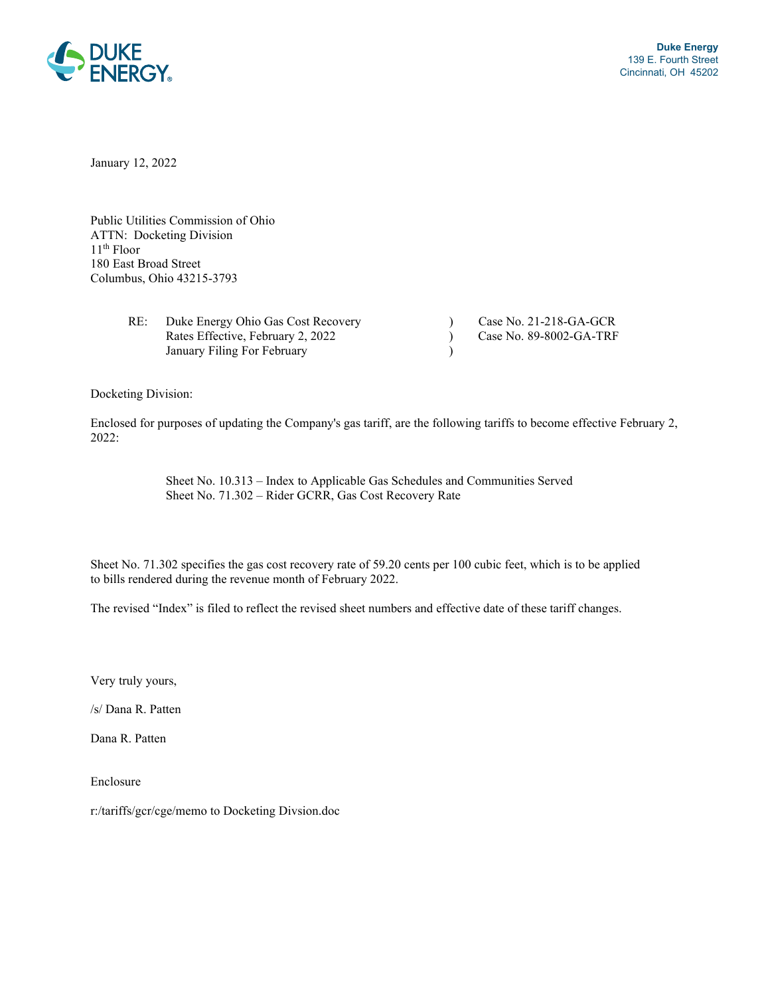

January 12, 2022

Public Utilities Commission of Ohio ATTN: Docketing Division 11th Floor 180 East Broad Street Columbus, Ohio 43215-3793

| RE: | Duke Energy Ohio Gas Cost Recovery | Case No. $21-218-GA-GCR$  |
|-----|------------------------------------|---------------------------|
|     | Rates Effective, February 2, 2022  | Case No. $89-8002-GA-TRF$ |
|     | January Filing For February        |                           |

Docketing Division:

Enclosed for purposes of updating the Company's gas tariff, are the following tariffs to become effective February 2, 2022:

> Sheet No. 10.313 – Index to Applicable Gas Schedules and Communities Served Sheet No. 71.302 – Rider GCRR, Gas Cost Recovery Rate

Sheet No. 71.302 specifies the gas cost recovery rate of 59.20 cents per 100 cubic feet, which is to be applied to bills rendered during the revenue month of February 2022.

The revised "Index" is filed to reflect the revised sheet numbers and effective date of these tariff changes.

Very truly yours,

/s/ Dana R. Patten

Dana R. Patten

Enclosure

r:/tariffs/gcr/cge/memo to Docketing Divsion.doc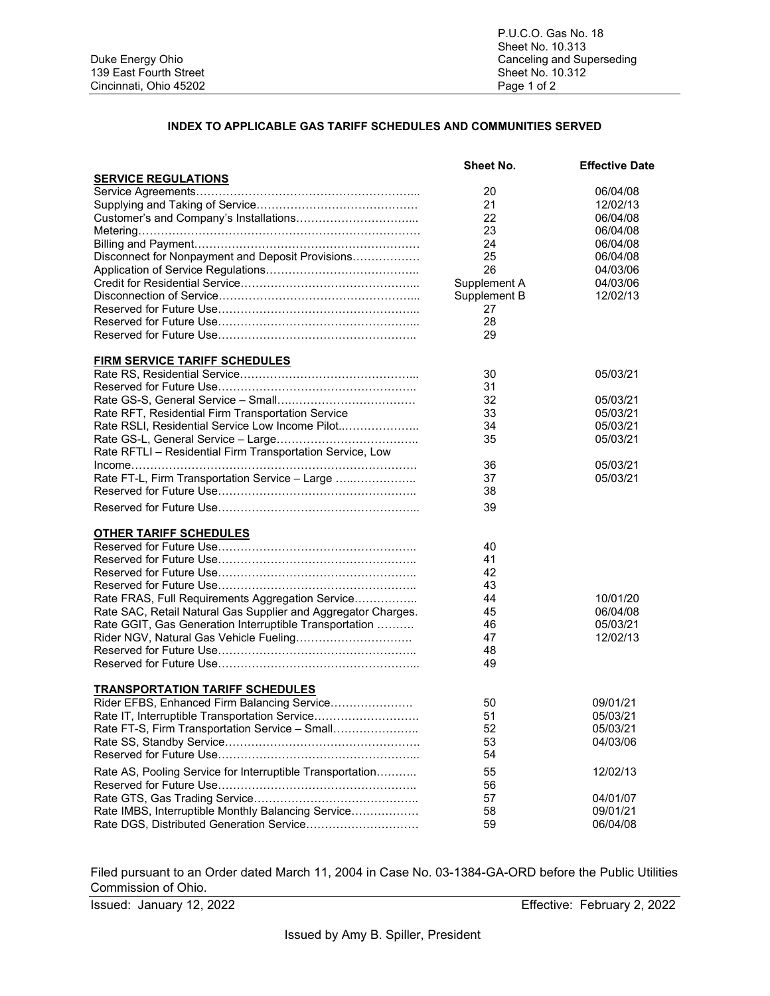### **INDEX TO APPLICABLE GAS TARIFF SCHEDULES AND COMMUNITIES SERVED**

|                                                               | Sheet No.    | <b>Effective Date</b> |
|---------------------------------------------------------------|--------------|-----------------------|
| <b>SERVICE REGULATIONS</b>                                    |              |                       |
|                                                               | 20           | 06/04/08              |
|                                                               | 21           | 12/02/13              |
|                                                               | 22           | 06/04/08              |
|                                                               | 23           | 06/04/08              |
|                                                               | 24           | 06/04/08              |
| Disconnect for Nonpayment and Deposit Provisions              | 25           | 06/04/08              |
|                                                               | 26           | 04/03/06              |
|                                                               | Supplement A | 04/03/06              |
|                                                               | Supplement B | 12/02/13              |
|                                                               | 27           |                       |
|                                                               | 28           |                       |
|                                                               | 29           |                       |
|                                                               |              |                       |
| <b>FIRM SERVICE TARIFF SCHEDULES</b>                          |              |                       |
|                                                               | 30           | 05/03/21              |
|                                                               | 31           |                       |
|                                                               | 32           | 05/03/21              |
| Rate RFT, Residential Firm Transportation Service             | 33           | 05/03/21              |
| Rate RSLI, Residential Service Low Income Pilot               | 34           | 05/03/21              |
|                                                               | 35           | 05/03/21              |
| Rate RFTLI - Residential Firm Transportation Service, Low     |              |                       |
|                                                               | 36           | 05/03/21              |
| Rate FT-L, Firm Transportation Service - Large                | 37           | 05/03/21              |
|                                                               | 38           |                       |
|                                                               |              |                       |
|                                                               | 39           |                       |
| <b>OTHER TARIFF SCHEDULES</b>                                 |              |                       |
|                                                               | 40           |                       |
|                                                               | 41           |                       |
|                                                               | 42           |                       |
|                                                               | 43           |                       |
| Rate FRAS, Full Requirements Aggregation Service              | 44           | 10/01/20              |
| Rate SAC, Retail Natural Gas Supplier and Aggregator Charges. | 45           | 06/04/08              |
| Rate GGIT, Gas Generation Interruptible Transportation        | 46           | 05/03/21              |
|                                                               | 47           | 12/02/13              |
|                                                               | 48           |                       |
|                                                               | 49           |                       |
|                                                               |              |                       |
| <b>TRANSPORTATION TARIFF SCHEDULES</b>                        |              |                       |
| Rider EFBS, Enhanced Firm Balancing Service                   | 50           | 09/01/21              |
| Rate IT, Interruptible Transportation Service                 | 51           | 05/03/21              |
| Rate FT-S, Firm Transportation Service - Small                | 52           | 05/03/21              |
|                                                               | 53           | 04/03/06              |
|                                                               | 54           |                       |
|                                                               |              |                       |
| Rate AS, Pooling Service for Interruptible Transportation     | 55           | 12/02/13              |
|                                                               | 56           |                       |
|                                                               | 57           | 04/01/07              |
| Rate IMBS, Interruptible Monthly Balancing Service            | 58           | 09/01/21              |
| Rate DGS, Distributed Generation Service                      | 59           | 06/04/08              |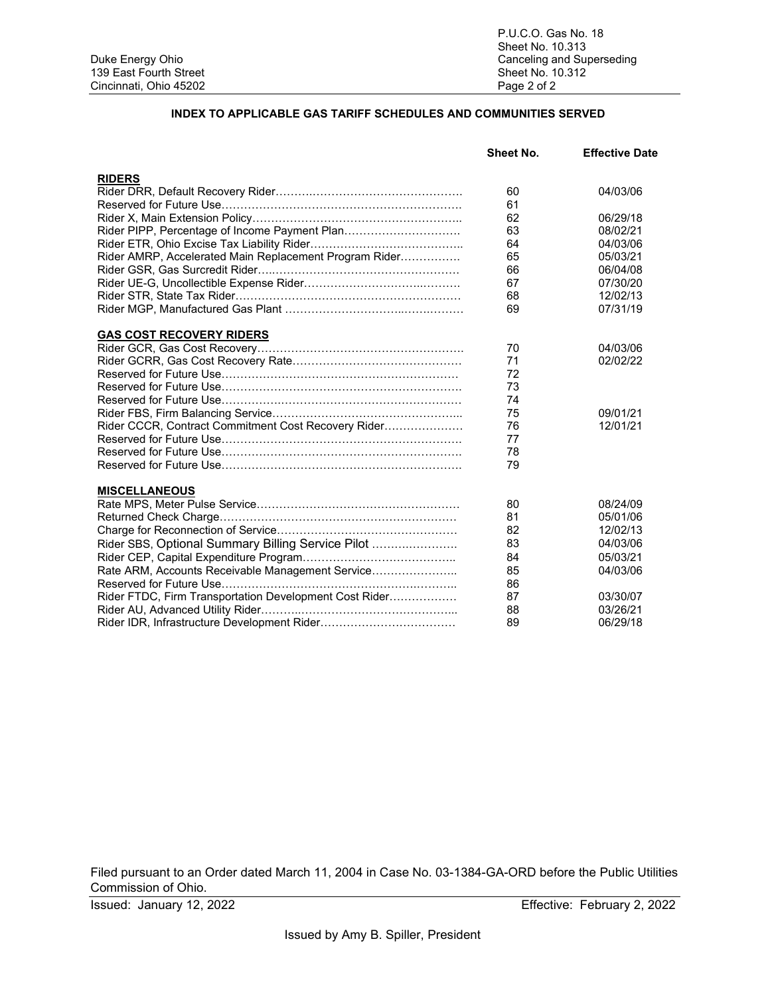P.U.C.O. Gas No. 18 Sheet No. 10.313 Canceling and Superseding<br>Sheet No. 10.312

### **INDEX TO APPLICABLE GAS TARIFF SCHEDULES AND COMMUNITIES SERVED**

| <b>RIDERS</b><br>60<br>04/03/06<br>61<br>62<br>06/29/18<br>Rider PIPP, Percentage of Income Payment Plan<br>63<br>08/02/21<br>64<br>04/03/06<br>65<br>05/03/21<br>Rider AMRP, Accelerated Main Replacement Program Rider<br>66<br>06/04/08<br>67<br>07/30/20<br>68<br>12/02/13<br>07/31/19<br>69<br><b>GAS COST RECOVERY RIDERS</b><br>70<br>04/03/06<br>71<br>02/02/22<br>72<br>73<br>74<br>75<br>09/01/21<br>Rider CCCR, Contract Commitment Cost Recovery Rider<br>76<br>12/01/21<br>77<br>78<br>79<br><b>MISCELLANEOUS</b><br>80<br>08/24/09<br>81<br>05/01/06<br>82<br>12/02/13<br>83<br>04/03/06<br>Rider SBS, Optional Summary Billing Service Pilot | <b>Sheet No.</b> | <b>Effective Date</b> |
|-------------------------------------------------------------------------------------------------------------------------------------------------------------------------------------------------------------------------------------------------------------------------------------------------------------------------------------------------------------------------------------------------------------------------------------------------------------------------------------------------------------------------------------------------------------------------------------------------------------------------------------------------------------|------------------|-----------------------|
|                                                                                                                                                                                                                                                                                                                                                                                                                                                                                                                                                                                                                                                             |                  |                       |
|                                                                                                                                                                                                                                                                                                                                                                                                                                                                                                                                                                                                                                                             |                  |                       |
|                                                                                                                                                                                                                                                                                                                                                                                                                                                                                                                                                                                                                                                             |                  |                       |
|                                                                                                                                                                                                                                                                                                                                                                                                                                                                                                                                                                                                                                                             |                  |                       |
|                                                                                                                                                                                                                                                                                                                                                                                                                                                                                                                                                                                                                                                             |                  |                       |
|                                                                                                                                                                                                                                                                                                                                                                                                                                                                                                                                                                                                                                                             |                  |                       |
|                                                                                                                                                                                                                                                                                                                                                                                                                                                                                                                                                                                                                                                             |                  |                       |
|                                                                                                                                                                                                                                                                                                                                                                                                                                                                                                                                                                                                                                                             |                  |                       |
|                                                                                                                                                                                                                                                                                                                                                                                                                                                                                                                                                                                                                                                             |                  |                       |
|                                                                                                                                                                                                                                                                                                                                                                                                                                                                                                                                                                                                                                                             |                  |                       |
|                                                                                                                                                                                                                                                                                                                                                                                                                                                                                                                                                                                                                                                             |                  |                       |
|                                                                                                                                                                                                                                                                                                                                                                                                                                                                                                                                                                                                                                                             |                  |                       |
|                                                                                                                                                                                                                                                                                                                                                                                                                                                                                                                                                                                                                                                             |                  |                       |
|                                                                                                                                                                                                                                                                                                                                                                                                                                                                                                                                                                                                                                                             |                  |                       |
|                                                                                                                                                                                                                                                                                                                                                                                                                                                                                                                                                                                                                                                             |                  |                       |
|                                                                                                                                                                                                                                                                                                                                                                                                                                                                                                                                                                                                                                                             |                  |                       |
|                                                                                                                                                                                                                                                                                                                                                                                                                                                                                                                                                                                                                                                             |                  |                       |
|                                                                                                                                                                                                                                                                                                                                                                                                                                                                                                                                                                                                                                                             |                  |                       |
|                                                                                                                                                                                                                                                                                                                                                                                                                                                                                                                                                                                                                                                             |                  |                       |
|                                                                                                                                                                                                                                                                                                                                                                                                                                                                                                                                                                                                                                                             |                  |                       |
|                                                                                                                                                                                                                                                                                                                                                                                                                                                                                                                                                                                                                                                             |                  |                       |
|                                                                                                                                                                                                                                                                                                                                                                                                                                                                                                                                                                                                                                                             |                  |                       |
|                                                                                                                                                                                                                                                                                                                                                                                                                                                                                                                                                                                                                                                             |                  |                       |
|                                                                                                                                                                                                                                                                                                                                                                                                                                                                                                                                                                                                                                                             |                  |                       |
|                                                                                                                                                                                                                                                                                                                                                                                                                                                                                                                                                                                                                                                             |                  |                       |
|                                                                                                                                                                                                                                                                                                                                                                                                                                                                                                                                                                                                                                                             |                  |                       |
|                                                                                                                                                                                                                                                                                                                                                                                                                                                                                                                                                                                                                                                             |                  |                       |
|                                                                                                                                                                                                                                                                                                                                                                                                                                                                                                                                                                                                                                                             | 84               | 05/03/21              |
| Rate ARM, Accounts Receivable Management Service<br>85<br>04/03/06                                                                                                                                                                                                                                                                                                                                                                                                                                                                                                                                                                                          |                  |                       |
| 86                                                                                                                                                                                                                                                                                                                                                                                                                                                                                                                                                                                                                                                          |                  |                       |
| Rider FTDC, Firm Transportation Development Cost Rider<br>87<br>03/30/07                                                                                                                                                                                                                                                                                                                                                                                                                                                                                                                                                                                    |                  |                       |
| 88<br>03/26/21                                                                                                                                                                                                                                                                                                                                                                                                                                                                                                                                                                                                                                              |                  |                       |
| 89<br>06/29/18                                                                                                                                                                                                                                                                                                                                                                                                                                                                                                                                                                                                                                              |                  |                       |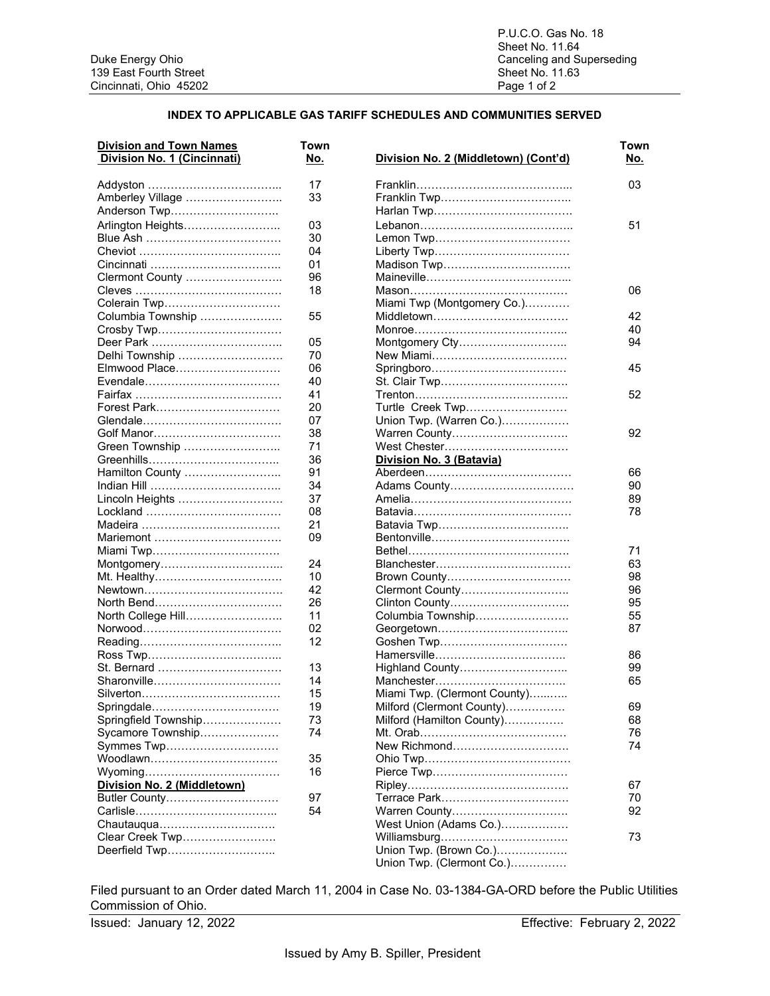### **INDEX TO APPLICABLE GAS TARIFF SCHEDULES AND COMMUNITIES SERVED**

| <b>Division and Town Names</b> | Town |                                      |
|--------------------------------|------|--------------------------------------|
| Division No. 1 (Cincinnati)    | No.  | Division No. 2 (Middletown) (Cont'd) |
|                                | 17   |                                      |
| Amberley Village               | 33   |                                      |
| Anderson Twp                   |      |                                      |
| Arlington Heights              | 03   |                                      |
|                                | 30   |                                      |
|                                | 04   |                                      |
|                                | 01   | Madison Twp                          |
| Clermont County                | 96   |                                      |
|                                | 18   |                                      |
| Colerain Twp                   |      | Miami Twp (Montgomery Co.)           |
| Columbia Township              | 55   |                                      |
| Crosby Twp                     |      |                                      |
|                                | 05   | Montgomery Cty                       |
| Delhi Township                 | 70   |                                      |
| Elmwood Place                  | 06   |                                      |
|                                | 40   |                                      |
|                                | 41   | St. Clair Twp                        |
| Forest Park                    |      | Turtle Creek Twp                     |
|                                | 20   |                                      |
|                                | 07   | Union Twp. (Warren Co.)              |
|                                | 38   | Warren County                        |
| Green Township                 | 71   | West Chester                         |
|                                | 36   | Division No. 3 (Batavia)             |
| Hamilton County                | 91   |                                      |
|                                | 34   | Adams County                         |
| Lincoln Heights                | 37   |                                      |
|                                | 08   |                                      |
| Madeira ………………………………           | 21   |                                      |
| Mariemont                      | 09   |                                      |
| Miami Twp                      |      |                                      |
|                                | 24   |                                      |
|                                | 10   |                                      |
|                                | 42   | Clermont County                      |
| North Bend                     | 26   | Clinton County                       |
| North College Hill             | 11   | Columbia Township                    |
|                                | 02   |                                      |
|                                | 12   |                                      |
|                                |      |                                      |
| St. Bernard                    | 13   | Highland County                      |
| Sharonville                    | 14   |                                      |
|                                | 15   | Miami Twp. (Clermont County)         |
| Springdale                     | 19   | Milford (Clermont County)            |
| Springfield Township           | 73   | Milford (Hamilton County)            |
| Sycamore Township              | 74   |                                      |
| Symmes Twp                     |      | New Richmond                         |
| Woodlawn                       | 35   |                                      |
|                                | 16   |                                      |
| Division No. 2 (Middletown)    |      |                                      |
|                                | 97   |                                      |
| Butler County                  | 54   | Warren County                        |
|                                |      |                                      |
| Clear Creek Twp                |      | West Union (Adams Co.)               |
|                                |      |                                      |
| Deerfield Twp                  |      | Union Twp. (Brown Co.)               |
|                                |      | Union Twp. (Clermont Co.)            |

| <b>Division and Town Names</b>   | Town     |                                      | Town |
|----------------------------------|----------|--------------------------------------|------|
| Division No. 1 (Cincinnati)      | No.      | Division No. 2 (Middletown) (Cont'd) | No.  |
|                                  | 17       |                                      | 03   |
| Amberley Village                 | 33       |                                      |      |
| Anderson Twp                     |          |                                      |      |
| Arlington Heights                | 03       |                                      | 51   |
|                                  | 30       |                                      |      |
| Cheviot …………………………………            | 04       |                                      |      |
|                                  | 01       |                                      |      |
| Clermont County                  | 96       |                                      |      |
|                                  | 18       |                                      | 06   |
| Colerain Twp                     |          | Miami Twp (Montgomery Co.)           |      |
| Columbia Township                | 55       |                                      | 42   |
| Crosby Twp                       |          |                                      | 40   |
|                                  | 05       | Montgomery Cty                       | 94   |
| Delhi Township                   | 70       |                                      |      |
| Elmwood Place                    | 06       |                                      | 45   |
|                                  | 40       | St. Clair Twp                        |      |
|                                  | 41       |                                      | 52   |
|                                  |          |                                      |      |
| Forest Park                      | 20       | Turtle Creek Twp                     |      |
|                                  | 07       | Union Twp. (Warren Co.)              |      |
| Golf Manor                       | 38       | Warren County                        | 92   |
| Green Township                   | 71       |                                      |      |
|                                  | 36       | Division No. 3 (Batavia)             |      |
| Hamilton County                  | 91       |                                      | 66   |
| <u> Indian Hill ………………………………</u> | 34       |                                      | 90   |
| Lincoln Heights                  | 37       |                                      | 89   |
|                                  | 08       |                                      | 78   |
|                                  | 21       |                                      |      |
| Mariemont                        | 09       |                                      |      |
| Miami Twp……………………………             |          |                                      | 71   |
| Montgomery……………………………            | 24       |                                      | 63   |
| Mt. Healthy                      | 10       |                                      | 98   |
|                                  | 42       | Clermont County                      | 96   |
| North Bend……………………………            | 26       |                                      | 95   |
| North College Hill……………………       | 11       | Columbia Township                    | 55   |
|                                  | 02       |                                      | 87   |
|                                  | 12       | Goshen Twp                           |      |
|                                  |          |                                      | 86   |
| St. Bernard                      | 13       | Highland County                      | 99   |
| Sharonville……………………………           | 14       |                                      | 65   |
|                                  | 15       | Miami Twp. (Clermont County)         |      |
| Springdale                       | 19       | Milford (Clermont County)            | 69   |
| Springfield Township             | 73       | Milford (Hamilton County)            | 68   |
| Sycamore Township                | 74       |                                      | 76   |
| Symmes Twp                       |          | New Richmond                         | 74   |
| Woodlawn                         | 35       |                                      |      |
|                                  | 16       |                                      |      |
| Division No. 2 (Middletown)      |          |                                      |      |
|                                  |          |                                      | 67   |
| Butler County                    | 97<br>54 |                                      | 70   |
|                                  |          | Warren County                        | 92   |
|                                  |          | West Union (Adams Co.)               |      |
| Clear Creek Twp                  |          |                                      | 73   |
| Deerfield Twp                    |          | Union Twp. (Brown Co.)               |      |
|                                  |          | Union Twp. (Clermont Co.)            |      |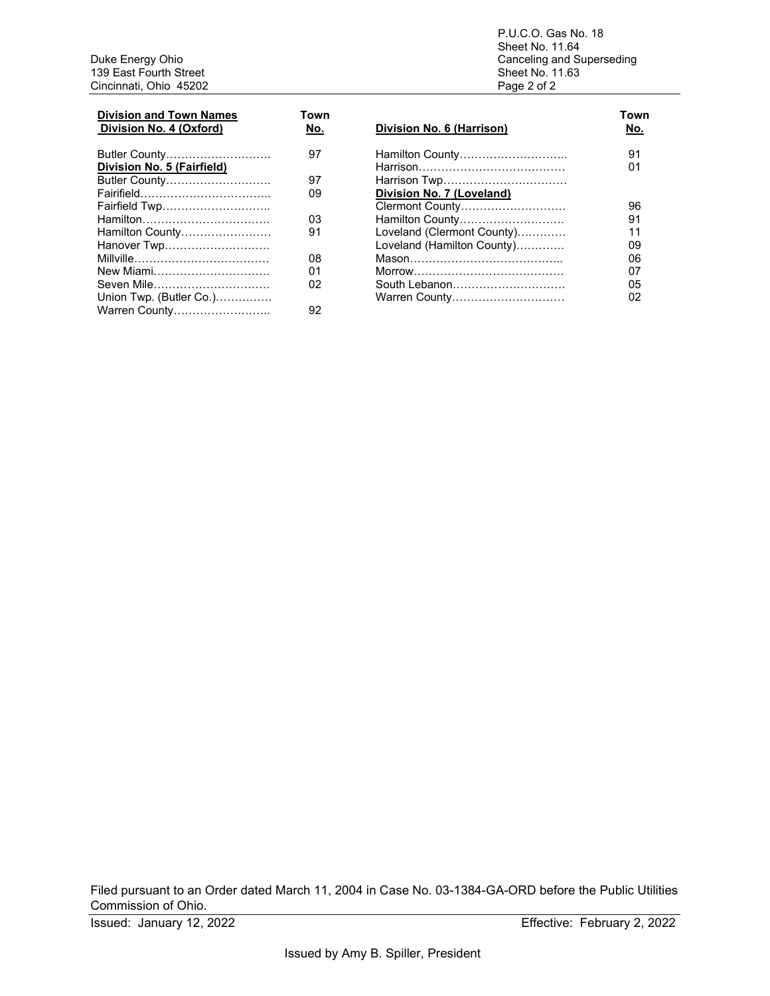Duke Energy Ohio Canceling a<br>
139 East Fourth Street Sheet No. 1<br>
Cincinnati, Ohio 45202 Sheet No. 1<br>
Page 2 of 2 Cincinnati, Ohio 45202

P.U.C.O. Gas No. 18 Sheet No. 11.64 Canceling and Superseding<br>Sheet No. 11.63

| <b>Division and Town Names</b><br>Division No. 4 (Oxford) | Town<br>No. | Division No. 6 (Harrison)  | Town<br>No. |
|-----------------------------------------------------------|-------------|----------------------------|-------------|
| Butler County                                             | 97          | Hamilton County            | 91          |
| Division No. 5 (Fairfield)                                |             |                            | 01          |
| Butler County                                             | 97          | Harrison Twp               |             |
|                                                           | 09          | Division No. 7 (Loveland)  |             |
| Fairfield Twp                                             |             | Clermont County            | 96          |
|                                                           | 03          | Hamilton County            | 91          |
| Hamilton County                                           | 91          | Loveland (Clermont County) | 11          |
| Hanover Twp                                               |             | Loveland (Hamilton County) | 09          |
|                                                           | 08          |                            | 06          |
| New Miami                                                 | 01          |                            | 07          |
| Seven Mile                                                | 02          | South Lebanon              | 05          |
| Union Twp. (Butler Co.)                                   |             | Warren County              | 02          |
| Warren County                                             | 92          |                            |             |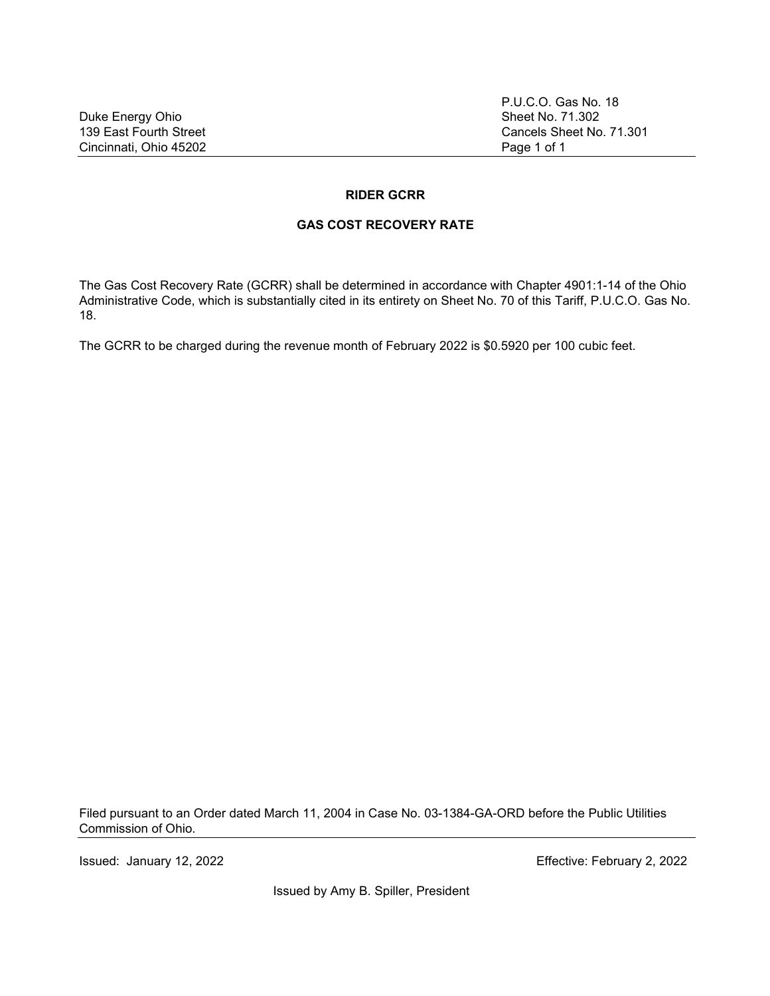P.U.C.O. Gas No. 18 Cancels Sheet No. 71.301

### **RIDER GCRR**

### **GAS COST RECOVERY RATE**

The Gas Cost Recovery Rate (GCRR) shall be determined in accordance with Chapter 4901:1-14 of the Ohio Administrative Code, which is substantially cited in its entirety on Sheet No. 70 of this Tariff, P.U.C.O. Gas No. 18.

The GCRR to be charged during the revenue month of February 2022 is \$0.5920 per 100 cubic feet.

Filed pursuant to an Order dated March 11, 2004 in Case No. 03-1384-GA-ORD before the Public Utilities Commission of Ohio.

Issued: January 12, 2022 Effective: February 2, 2022